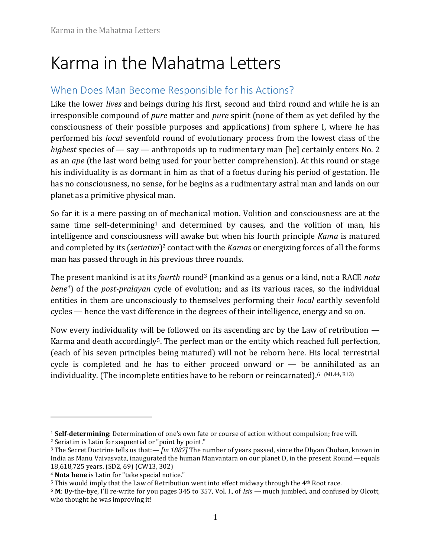# Karma in the Mahatma Letters

### When Does Man Become Responsible for his Actions?

Like the lower *lives* and beings during his first, second and third round and while he is an irresponsible compound of *pure* matter and *pure* spirit (none of them as yet defiled by the consciousness of their possible purposes and applications) from sphere I, where he has performed his *local* sevenfold round of evolutionary process from the lowest class of the *highest* species of — say — anthropoids up to rudimentary man [he] certainly enters No. 2 as an *ape* (the last word being used for your better comprehension). At this round or stage his individuality is as dormant in him as that of a foetus during his period of gestation. He has no consciousness, no sense, for he begins as a rudimentary astral man and lands on our planet as a primitive physical man.

So far it is a mere passing on of mechanical motion. Volition and consciousness are at the same time self-determining<sup>1</sup> and determined by causes, and the volition of man, his intelligence and consciousness will awake but when his fourth principle *Kama* is matured and completed by its (*seriatim*) <sup>2</sup> contact with the *Kamas* or energizing forces of all the forms man has passed through in his previous three rounds.

The present mankind is at its *fourth* round<sup>3</sup> (mankind as a genus or a kind, not a RACE *nota bene4*) of the *post-pralayan* cycle of evolution; and as its various races, so the individual entities in them are unconsciously to themselves performing their *local* earthly sevenfold cycles — hence the vast difference in the degrees of their intelligence, energy and so on.

Now every individuality will be followed on its ascending arc by the Law of retribution — Karma and death accordingly<sup>5</sup>. The perfect man or the entity which reached full perfection, (each of his seven principles being matured) will not be reborn here. His local terrestrial cycle is completed and he has to either proceed onward or — be annihilated as an individuality. (The incomplete entities have to be reborn or reincarnated).<sup>6</sup> (ML44, B13)

<sup>1</sup> **Self-determining**: Determination of one's own fate or course of action without compulsion; free will. <sup>2</sup> Seriatim is Latin for sequential or "point by point."

<sup>3</sup> The Secret Doctrine tells us that:— *[in 1887]* The number of years passed, since the Dhyan Chohan, known in India as Manu Vaivasvata, inaugurated the human Manvantara on our planet D, in the present Round—equals 18,618,725 years. (SD2, 69) (CW13, 302)

<sup>4</sup> **Nota bene** is Latin for "take special notice."

<sup>5</sup> This would imply that the Law of Retribution went into effect midway through the 4th Root race.

<sup>6</sup> **M**: By-the-bye, I'll re-write for you pages 345 to 357, Vol. I., of *Isis* — much jumbled, and confused by Olcott, who thought he was improving it!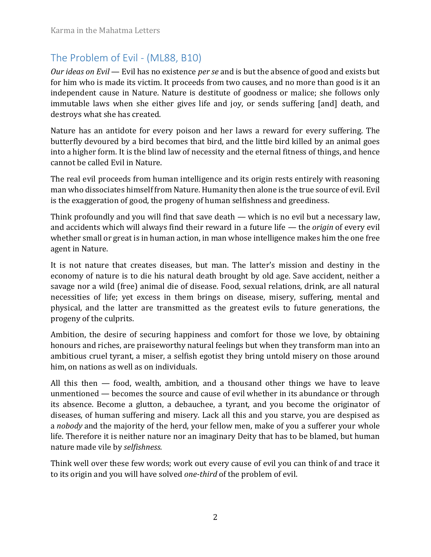### The Problem of Evil - (ML88, B10)

*Our ideas on Evil* — Evil has no existence *per se* and is but the absence of good and exists but for him who is made its victim. It proceeds from two causes, and no more than good is it an independent cause in Nature. Nature is destitute of goodness or malice; she follows only immutable laws when she either gives life and joy, or sends suffering [and] death, and destroys what she has created.

Nature has an antidote for every poison and her laws a reward for every suffering. The butterfly devoured by a bird becomes that bird, and the little bird killed by an animal goes into a higher form. It is the blind law of necessity and the eternal fitness of things, and hence cannot be called Evil in Nature.

The real evil proceeds from human intelligence and its origin rests entirely with reasoning man who dissociates himself from Nature. Humanity then alone is the true source of evil. Evil is the exaggeration of good, the progeny of human selfishness and greediness.

Think profoundly and you will find that save death — which is no evil but a necessary law, and accidents which will always find their reward in a future life — the *origin* of every evil whether small or great is in human action, in man whose intelligence makes him the one free agent in Nature.

It is not nature that creates diseases, but man. The latter's mission and destiny in the economy of nature is to die his natural death brought by old age. Save accident, neither a savage nor a wild (free) animal die of disease. Food, sexual relations, drink, are all natural necessities of life; yet excess in them brings on disease, misery, suffering, mental and physical, and the latter are transmitted as the greatest evils to future generations, the progeny of the culprits.

Ambition, the desire of securing happiness and comfort for those we love, by obtaining honours and riches, are praiseworthy natural feelings but when they transform man into an ambitious cruel tyrant, a miser, a selfish egotist they bring untold misery on those around him, on nations as well as on individuals.

All this then — food, wealth, ambition, and a thousand other things we have to leave unmentioned — becomes the source and cause of evil whether in its abundance or through its absence. Become a glutton, a debauchee, a tyrant, and you become the originator of diseases, of human suffering and misery. Lack all this and you starve, you are despised as a *nobody* and the majority of the herd, your fellow men, make of you a sufferer your whole life. Therefore it is neither nature nor an imaginary Deity that has to be blamed, but human nature made vile by *selfishness.*

Think well over these few words; work out every cause of evil you can think of and trace it to its origin and you will have solved *one-third* of the problem of evil.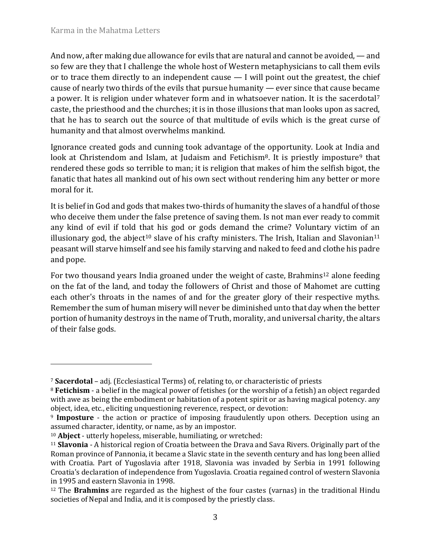And now, after making due allowance for evils that are natural and cannot be avoided, — and so few are they that I challenge the whole host of Western metaphysicians to call them evils or to trace them directly to an independent cause — I will point out the greatest, the chief cause of nearly two thirds of the evils that pursue humanity — ever since that cause became a power. It is religion under whatever form and in whatsoever nation. It is the sacerdotal<sup>7</sup> caste, the priesthood and the churches; it is in those illusions that man looks upon as sacred, that he has to search out the source of that multitude of evils which is the great curse of humanity and that almost overwhelms mankind.

Ignorance created gods and cunning took advantage of the opportunity. Look at India and look at Christendom and Islam, at Judaism and Fetichism<sup>8</sup>. It is priestly imposture<sup>9</sup> that rendered these gods so terrible to man; it is religion that makes of him the selfish bigot, the fanatic that hates all mankind out of his own sect without rendering him any better or more moral for it.

It is belief in God and gods that makes two-thirds of humanity the slaves of a handful of those who deceive them under the false pretence of saving them. Is not man ever ready to commit any kind of evil if told that his god or gods demand the crime? Voluntary victim of an illusionary god, the abject<sup>10</sup> slave of his crafty ministers. The Irish, Italian and Slavonian<sup>11</sup> peasant will starve himself and see his family starving and naked to feed and clothe his padre and pope.

For two thousand years India groaned under the weight of caste, Brahmins<sup>12</sup> alone feeding on the fat of the land, and today the followers of Christ and those of Mahomet are cutting each other's throats in the names of and for the greater glory of their respective myths. Remember the sum of human misery will never be diminished unto that day when the better portion of humanity destroys in the name of Truth, morality, and universal charity, the altars of their false gods.

<sup>7</sup> **Sacerdotal** – adj. (Ecclesiastical Terms) of, relating to, or characteristic of priests

<sup>8</sup> **Fetichism** - a belief in the magical power of fetishes (or the worship of a fetish) an object regarded with awe as being the embodiment or habitation of a potent spirit or as having magical potency. any object, idea, etc., eliciting unquestioning reverence, respect, or devotion:

<sup>9</sup> **Imposture** - the action or practice of imposing fraudulently upon others. Deception using an assumed character, identity, or name, as by an impostor.

<sup>10</sup> **Abject** - utterly hopeless, miserable, humiliating, or wretched:

<sup>11</sup> **Slavonia** - A historical region of Croatia between the Drava and Sava Rivers. Originally part of the Roman province of Pannonia, it became a Slavic state in the seventh century and has long been allied with Croatia. Part of Yugoslavia after 1918, Slavonia was invaded by Serbia in 1991 following Croatia's declaration of independence from Yugoslavia. Croatia regained control of western Slavonia in 1995 and eastern Slavonia in 1998.

<sup>12</sup> The **Brahmins** are regarded as the highest of the four castes (varnas) in the traditional Hindu societies of Nepal and India, and it is composed by the priestly class.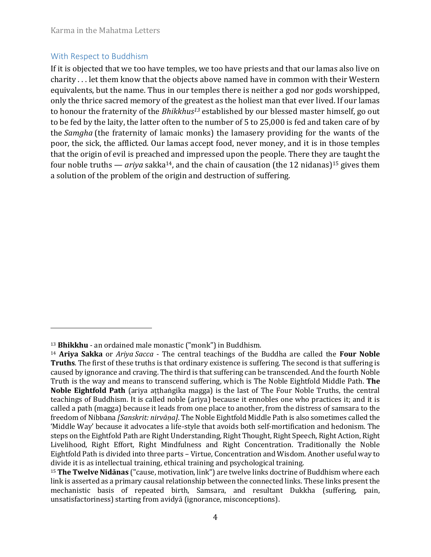#### With Respect to Buddhism

l

If it is objected that we too have temples, we too have priests and that our lamas also live on charity . . . let them know that the objects above named have in common with their Western equivalents, but the name. Thus in our temples there is neither a god nor gods worshipped, only the thrice sacred memory of the greatest as the holiest man that ever lived. If our lamas to honour the fraternity of the *Bhikkhus<sup>13</sup>* established by our blessed master himself, go out to be fed by the laity, the latter often to the number of 5 to 25,000 is fed and taken care of by the *Samgha* (the fraternity of lamaic monks) the lamasery providing for the wants of the poor, the sick, the afflicted. Our lamas accept food, never money, and it is in those temples that the origin of evil is preached and impressed upon the people. There they are taught the four noble truths — *ariya* sakka<sup>14</sup>, and the chain of causation (the 12 nidanas)<sup>15</sup> gives them a solution of the problem of the origin and destruction of suffering.

<sup>13</sup> **Bhikkhu** - an ordained male monastic ("monk") in Buddhism.

<sup>14</sup> **Ariya Sakka** or *Ariya Sacca* - The central teachings of the Buddha are called the **Four Noble Truths**. The first of these truths is that ordinary existence is suffering. The second is that suffering is caused by ignorance and craving. The third is that suffering can be transcended. And the fourth Noble Truth is the way and means to transcend suffering, which is The Noble Eightfold Middle Path. **The Noble Eightfold Path** (ariya aṭṭhaṅgika magga) is the last of The Four Noble Truths, the central teachings of Buddhism. It is called noble (ariya) because it ennobles one who practices it; and it is called a path (magga) because it leads from one place to another, from the distress of samsara to the freedom of Nibbana *[Sanskrit: nirvāṇa]*. The Noble Eightfold Middle Path is also sometimes called the 'Middle Way' because it advocates a life-style that avoids both self-mortification and hedonism. The steps on the Eightfold Path are Right Understanding, Right Thought, Right Speech, Right Action, Right Livelihood, Right Effort, Right Mindfulness and Right Concentration. Traditionally the Noble Eightfold Path is divided into three parts – Virtue, Concentration and Wisdom. Another useful way to divide it is as intellectual training, ethical training and psychological training.

<sup>15</sup> **The Twelve Nidānas** ("cause, motivation, link") are twelve links doctrine of Buddhism where each link is asserted as a primary causal relationship between the connected links. These links present the mechanistic basis of repeated birth, Samsara, and resultant Dukkha (suffering, pain, unsatisfactoriness) starting from avidyā (ignorance, misconceptions).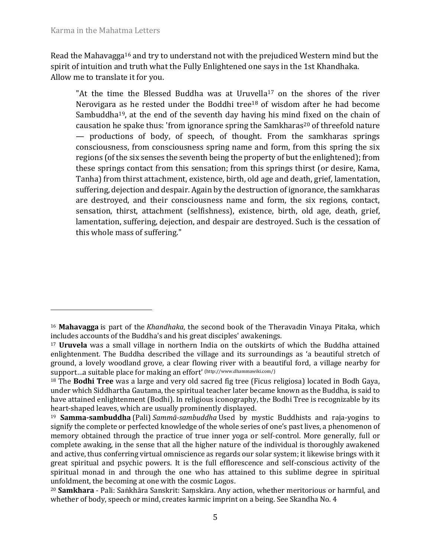$\overline{a}$ 

Read the Mahavagga<sup>16</sup> and try to understand not with the prejudiced Western mind but the spirit of intuition and truth what the Fully Enlightened one says in the 1st Khandhaka. Allow me to translate it for you.

"At the time the Blessed Buddha was at Uruvella<sup>17</sup> on the shores of the river Nerovigara as he rested under the Boddhi tree<sup>18</sup> of wisdom after he had become Sambuddha<sup>19</sup>, at the end of the seventh day having his mind fixed on the chain of causation he spake thus: 'from ignorance spring the Samkharas<sup>20</sup> of threefold nature — productions of body, of speech, of thought. From the samkharas springs consciousness, from consciousness spring name and form, from this spring the six regions (of the six senses the seventh being the property of but the enlightened); from these springs contact from this sensation; from this springs thirst (or desire, Kama, Tanha) from thirst attachment, existence, birth, old age and death, grief, lamentation, suffering, dejection and despair. Again by the destruction of ignorance, the samkharas are destroyed, and their consciousness name and form, the six regions, contact, sensation, thirst, attachment (selfishness), existence, birth, old age, death, grief, lamentation, suffering, dejection, and despair are destroyed. Such is the cessation of this whole mass of suffering."

<sup>16</sup> **Mahavagga** is part of the *Khandhaka*, the second book of the Theravadin Vinaya Pitaka, which includes accounts of the Buddha's and his great disciples' awakenings.

<sup>17</sup> **Uruvela** was a small village in northern India on the outskirts of which the Buddha attained enlightenment. The Buddha described the village and its surroundings as 'a beautiful stretch of ground, a lovely woodland grove, a clear flowing river with a beautiful ford, a village nearby for support…a suitable place for making an effort' (http://www.dhammawiki.com/)

<sup>18</sup> The **Bodhi Tree** was a large and very old sacred fig tree (Ficus religiosa) located in Bodh Gaya, under which Siddhartha Gautama, the spiritual teacher later became known as the Buddha, is said to have attained enlightenment (Bodhi). In religious iconography, the Bodhi Tree is recognizable by its heart-shaped leaves, which are usually prominently displayed.

<sup>19</sup> **Samma-sambuddha** (Pali) *Sammā-sambuddha* Used by mystic Buddhists and raja-yogins to signify the complete or perfected knowledge of the whole series of one's past lives, a phenomenon of memory obtained through the practice of true inner yoga or self-control. More generally, full or complete awaking, in the sense that all the higher nature of the individual is thoroughly awakened and active, thus conferring virtual omniscience as regards our solar system; it likewise brings with it great spiritual and psychic powers. It is the full efflorescence and self-conscious activity of the spiritual monad in and through the one who has attained to this sublime degree in spiritual unfoldment, the becoming at one with the cosmic Logos.

<sup>20</sup> **Samkhara** - Pali: Saṅkhāra Sanskrit: Saṃskāra. Any action, whether meritorious or harmful, and whether of body, speech or mind, creates karmic imprint on a being. See Skandha No. 4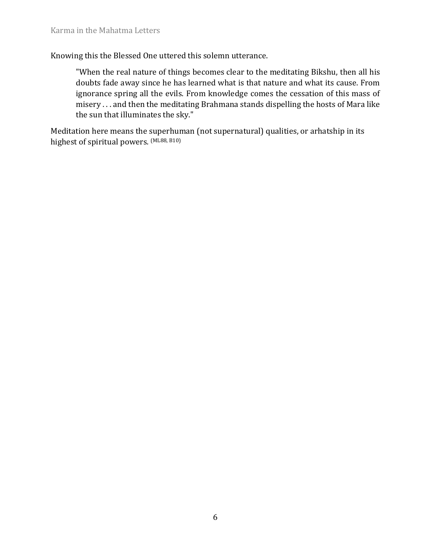Knowing this the Blessed One uttered this solemn utterance.

"When the real nature of things becomes clear to the meditating Bikshu, then all his doubts fade away since he has learned what is that nature and what its cause. From ignorance spring all the evils. From knowledge comes the cessation of this mass of misery . . . and then the meditating Brahmana stands dispelling the hosts of Mara like the sun that illuminates the sky."

Meditation here means the superhuman (not supernatural) qualities, or arhatship in its highest of spiritual powers. (ML88, B10)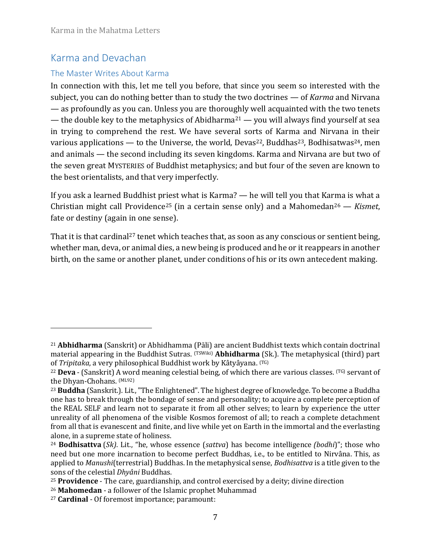### Karma and Devachan

l

#### The Master Writes About Karma

In connection with this, let me tell you before, that since you seem so interested with the subject, you can do nothing better than to study the two doctrines — of *Karma* and Nirvana — as profoundly as you can. Unless you are thoroughly well acquainted with the two tenets — the double key to the metaphysics of Abidharma<sup>21</sup> — you will always find yourself at sea in trying to comprehend the rest. We have several sorts of Karma and Nirvana in their various applications — to the Universe, the world, Devas<sup>22</sup>, Buddhas<sup>23</sup>, Bodhisatwas<sup>24</sup>, men and animals — the second including its seven kingdoms. Karma and Nirvana are but two of the seven great MYSTERIES of Buddhist metaphysics; and but four of the seven are known to the best orientalists, and that very imperfectly.

If you ask a learned Buddhist priest what is Karma? — he will tell you that Karma is what a Christian might call Providence<sup>25</sup> (in a certain sense only) and a Mahomedan<sup>26</sup> — *Kismet*, fate or destiny (again in one sense).

That it is that cardinal<sup>27</sup> tenet which teaches that, as soon as any conscious or sentient being, whether man, deva, or animal dies, a new being is produced and he or it reappears in another birth, on the same or another planet, under conditions of his or its own antecedent making.

<sup>21</sup> **Abhidharma** (Sanskrit) or Abhidhamma (Pāli) are ancient Buddhist texts which contain doctrinal material appearing in the Buddhist Sutras. (TSWiki) **Abhidharma** (Sk.). The metaphysical (third) part of *Tripitaka*, a very philosophical Buddhist work by Kâtyâyana. (TG)

<sup>22</sup> **Deva** - (Sanskrit) A word meaning celestial being, of which there are various classes. (TG) servant of the Dhyan-Chohans. (ML92)

<sup>23</sup> **Buddha** (Sanskrit.). Lit., "The Enlightened". The highest degree of knowledge. To become a Buddha one has to break through the bondage of sense and personality; to acquire a complete perception of the REAL SELF and learn not to separate it from all other selves; to learn by experience the utter unreality of all phenomena of the visible Kosmos foremost of all; to reach a complete detachment from all that is evanescent and finite, and live while yet on Earth in the immortal and the everlasting alone, in a supreme state of holiness.

<sup>24</sup> **Bodhisattva** (*Sk)*. Lit., "he, whose essence (*sattva*) has become intelligence *(bodhi*)"; those who need but one more incarnation to become perfect Buddhas, i.e., to be entitled to Nirvâna. This, as applied to *Manushi*(terrestrial) Buddhas. In the metaphysical sense, *Bodhisattva* is a title given to the sons of the celestial *Dhyâni* Buddhas.

<sup>25</sup> **Providence** - The care, guardianship, and control exercised by a deity; divine direction

<sup>26</sup> **Mahomedan** - a follower of the Islamic prophet Muhammad

<sup>27</sup> **Cardinal** - Of foremost importance; paramount: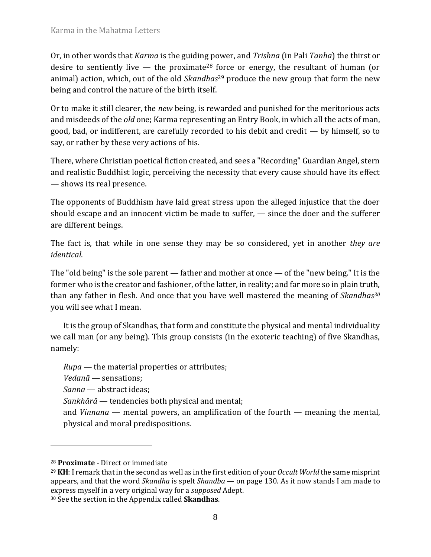Or, in other words that *Karma* is the guiding power, and *Trishna* (in Pali *Tanha*) the thirst or desire to sentiently live  $-$  the proximate<sup>28</sup> force or energy, the resultant of human (or animal) action, which, out of the old *Skandhas*<sup>29</sup> produce the new group that form the new being and control the nature of the birth itself.

Or to make it still clearer, the *new* being, is rewarded and punished for the meritorious acts and misdeeds of the *old* one; Karma representing an Entry Book, in which all the acts of man, good, bad, or indifferent, are carefully recorded to his debit and credit — by himself, so to say, or rather by these very actions of his.

There, where Christian poetical fiction created, and sees a "Recording" Guardian Angel, stern and realistic Buddhist logic, perceiving the necessity that every cause should have its effect — shows its real presence.

The opponents of Buddhism have laid great stress upon the alleged injustice that the doer should escape and an innocent victim be made to suffer, — since the doer and the sufferer are different beings.

The fact is, that while in one sense they may be so considered, yet in another *they are identical*.

The "old being" is the sole parent — father and mother at once — of the "new being." It is the former who is the creator and fashioner, of the latter, in reality; and far more so in plain truth, than any father in flesh. And once that you have well mastered the meaning of *Skandhas<sup>30</sup>* you will see what I mean.

It is the group of Skandhas, that form and constitute the physical and mental individuality we call man (or any being). This group consists (in the exoteric teaching) of five Skandhas, namely:

*Rupa* — the material properties or attributes;

*Vedanā* — sensations;

*Sanna* — abstract ideas;

*Sankhārā* — tendencies both physical and mental;

and *Vinnana* — mental powers, an amplification of the fourth — meaning the mental, physical and moral predispositions.

l

<sup>30</sup> See the section in the Appendix called **Skandhas**.

<sup>28</sup> **Proximate** - Direct or immediate

<sup>29</sup> **KH**: I remark that in the second as well as in the first edition of your *Occult World* the same misprint appears, and that the word *Skandha* is spelt *Shandba* — on page 130. As it now stands I am made to express myself in a very original way for a *supposed* Adept.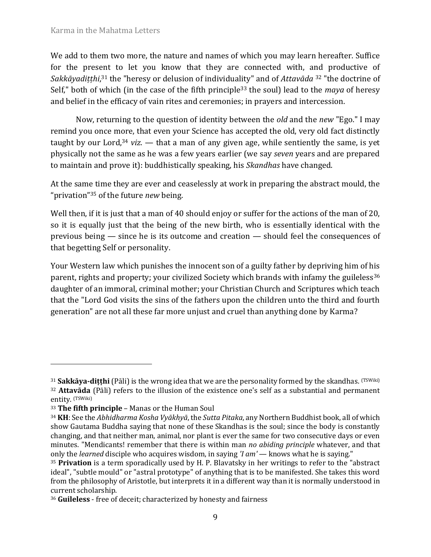We add to them two more, the nature and names of which you may learn hereafter. Suffice for the present to let you know that they are connected with, and productive of *Sakkāyadiṭṭhi*, <sup>31</sup> the "heresy or delusion of individuality" and of *Attavāda* <sup>32</sup> "the doctrine of Self," both of which (in the case of the fifth principle<sup>33</sup> the soul) lead to the *maya* of heresy and belief in the efficacy of vain rites and ceremonies; in prayers and intercession.

Now, returning to the question of identity between the *old* and the *new* "Ego." I may remind you once more, that even your Science has accepted the old, very old fact distinctly taught by our Lord, <sup>34</sup> *viz*. — that a man of any given age, while sentiently the same, is yet physically not the same as he was a few years earlier (we say *seven* years and are prepared to maintain and prove it): buddhistically speaking, his *Skandhas* have changed.

At the same time they are ever and ceaselessly at work in preparing the abstract mould, the "privation" <sup>35</sup> of the future *new* being.

Well then, if it is just that a man of 40 should enjoy or suffer for the actions of the man of 20, so it is equally just that the being of the new birth, who is essentially identical with the previous being — since he is its outcome and creation — should feel the consequences of that begetting Self or personality.

Your Western law which punishes the innocent son of a guilty father by depriving him of his parent, rights and property; your civilized Society which brands with infamy the guileless<sup>36</sup> daughter of an immoral, criminal mother; your Christian Church and Scriptures which teach that the "Lord God visits the sins of the fathers upon the children unto the third and fourth generation" are not all these far more unjust and cruel than anything done by Karma?

<sup>&</sup>lt;sup>31</sup> Sakkāya-ditthi (Pāli) is the wrong idea that we are the personality formed by the skandhas. <sup>(TSWiki)</sup> <sup>32</sup> **Attavāda** (Pāli) refers to the illusion of the existence one's self as a substantial and permanent entity. (TSWiki)

<sup>33</sup> **The fifth principle** – Manas or the Human Soul

<sup>34</sup> **KH**: See the *Abhidharma Kosha Vyākhyā*, the *Sutta Pitaka*, any Northern Buddhist book, all of which show Gautama Buddha saying that none of these Skandhas is the soul; since the body is constantly changing, and that neither man, animal, nor plant is ever the same for two consecutive days or even minutes. "Mendicants! remember that there is within man *no abiding principle* whatever, and that only the *learned* disciple who acquires wisdom, in saying *'I am'* — knows what he is saying."

<sup>35</sup> **Privation** is a term sporadically used by H. P. Blavatsky in her writings to refer to the "abstract ideal", "subtle mould" or "astral prototype" of anything that is to be manifested. She takes this word from the philosophy of Aristotle, but interprets it in a different way than it is normally understood in current scholarship.

<sup>36</sup> **Guileless** - free of deceit; characterized by honesty and fairness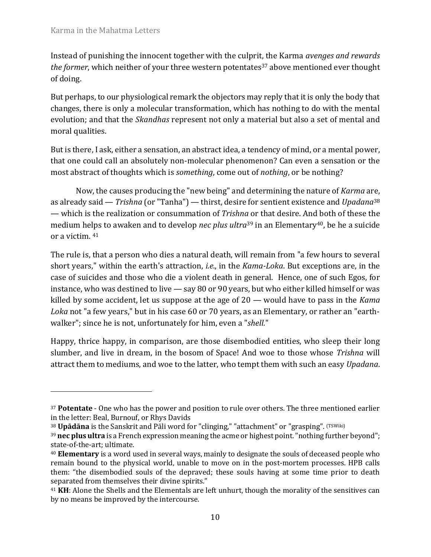$\overline{a}$ 

Instead of punishing the innocent together with the culprit, the Karma *avenges and rewards the former*, which neither of your three western potentates<sup>37</sup> above mentioned ever thought of doing.

But perhaps, to our physiological remark the objectors may reply that it is only the body that changes, there is only a molecular transformation, which has nothing to do with the mental evolution; and that the *Skandhas* represent not only a material but also a set of mental and moral qualities.

But is there, I ask, either a sensation, an abstract idea, a tendency of mind, or a mental power, that one could call an absolutely non-molecular phenomenon? Can even a sensation or the most abstract of thoughts which is *something*, come out of *nothing*, or be nothing?

Now, the causes producing the "new being" and determining the nature of *Karma* are, as already said — *Trishna* (or "Tanha") — thirst, desire for sentient existence and *Upadana*<sup>38</sup> — which is the realization or consummation of *Trishna* or that desire. And both of these the medium helps to awaken and to develop *nec plus ultra*<sup>39</sup> in an Elementary<sup>40</sup>, be he a suicide or a victim. <sup>41</sup>

The rule is, that a person who dies a natural death, will remain from "a few hours to several short years," within the earth's attraction, *i.e.*, in the *Kama-Loka*. But exceptions are, in the case of suicides and those who die a violent death in general. Hence, one of such Egos, for instance, who was destined to live — say 80 or 90 years, but who either killed himself or was killed by some accident, let us suppose at the age of 20 — would have to pass in the *Kama Loka* not "a few years," but in his case 60 or 70 years, as an Elementary, or rather an "earthwalker"; since he is not, unfortunately for him, even a "*shell.*"

Happy, thrice happy, in comparison, are those disembodied entities, who sleep their long slumber, and live in dream, in the bosom of Space! And woe to those whose *Trishna* will attract them to mediums, and woe to the latter, who tempt them with such an easy *Upadana*.

<sup>37</sup> **Potentate** - One who has the power and position to rule over others. The three mentioned earlier in the letter: Beal, Burnouf, or Rhys Davids

<sup>38</sup> **Upādāna** is the Sanskrit and Pāli word for "clinging," "attachment" or "grasping". (TSWiki)

<sup>39</sup> **nec plus ultra** is a French expression meaning the acme or highest point. "nothing further beyond"; state-of-the-art; ultimate.

<sup>40</sup> **Elementary** is a word used in several ways, mainly to designate the souls of deceased people who remain bound to the physical world, unable to move on in the post-mortem processes. HPB calls them: "the disembodied souls of the depraved; these souls having at some time prior to death separated from themselves their divine spirits."

<sup>41</sup> **KH**: Alone the Shells and the Elementals are left unhurt, though the morality of the sensitives can by no means be improved by the intercourse.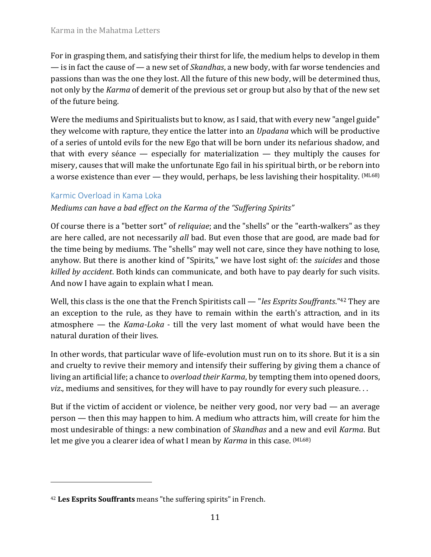For in grasping them, and satisfying their thirst for life, the medium helps to develop in them — is in fact the cause of — a new set of *Skandhas*, a new body, with far worse tendencies and passions than was the one they lost. All the future of this new body, will be determined thus, not only by the *Karma* of demerit of the previous set or group but also by that of the new set of the future being.

Were the mediums and Spiritualists but to know, as I said, that with every new "angel guide" they welcome with rapture, they entice the latter into an *Upadana* which will be productive of a series of untold evils for the new Ego that will be born under its nefarious shadow, and that with every séance — especially for materialization — they multiply the causes for misery, causes that will make the unfortunate Ego fail in his spiritual birth, or be reborn into a worse existence than ever — they would, perhaps, be less lavishing their hospitality. <sup>(ML68)</sup>

#### Karmic Overload in Kama Loka

#### *Mediums can have a bad effect on the Karma of the "Suffering Spirits"*

Of course there is a "better sort" of *reliquiae*; and the "shells" or the "earth-walkers" as they are here called, are not necessarily *all* bad. But even those that are good, are made bad for the time being by mediums. The "shells" may well not care, since they have nothing to lose, anyhow. But there is another kind of "Spirits," we have lost sight of: the *suicides* and those *killed by accident*. Both kinds can communicate, and both have to pay dearly for such visits. And now I have again to explain what I mean.

Well, this class is the one that the French Spiritists call — "*les Esprits Souffrants*."<sup>42</sup> They are an exception to the rule, as they have to remain within the earth's attraction, and in its atmosphere — the *Kama-Loka* - till the very last moment of what would have been the natural duration of their lives.

In other words, that particular wave of life-evolution must run on to its shore. But it is a sin and cruelty to revive their memory and intensify their suffering by giving them a chance of living an artificial life; a chance to *overload their Karma*, by tempting them into opened doors, *viz*., mediums and sensitives, for they will have to pay roundly for every such pleasure. . .

But if the victim of accident or violence, be neither very good, nor very bad — an average person — then this may happen to him. A medium who attracts him, will create for him the most undesirable of things: a new combination of *Skandhas* and a new and evil *Karma*. But let me give you a clearer idea of what I mean by *Karma* in this case. (ML68)

<sup>42</sup> **Les Esprits Souffrants** means "the suffering spirits" in French.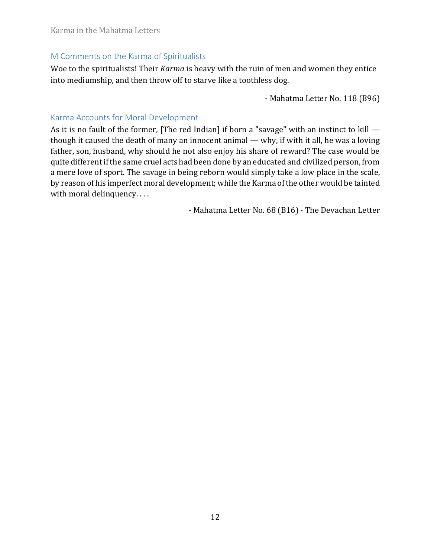#### M Comments on the Karma of Spiritualists

Woe to the spiritualists! Their *Karma* is heavy with the ruin of men and women they entice into mediumship, and then throw off to starve like a toothless dog.

- Mahatma Letter No. 118 (B96)

#### Karma Accounts for Moral Development

As it is no fault of the former, [The red Indian] if born a "savage" with an instinct to kill though it caused the death of many an innocent animal — why, if with it all, he was a loving father, son, husband, why should he not also enjoy his share of reward? The case would be quite different if the same cruel acts had been done by an educated and civilized person, from a mere love of sport. The savage in being reborn would simply take a low place in the scale, by reason of his imperfect moral development; while the Karma of the other would be tainted with moral delinquency....

- Mahatma Letter No. 68 (B16) - The Devachan Letter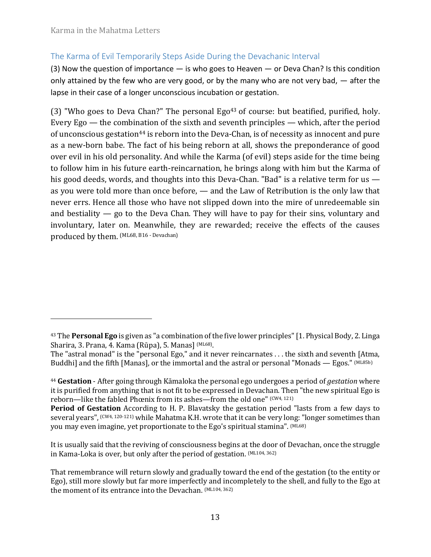$\overline{a}$ 

#### The Karma of Evil Temporarily Steps Aside During the Devachanic Interval

(3) Now the question of importance  $-$  is who goes to Heaven  $-$  or Deva Chan? Is this condition only attained by the few who are very good, or by the many who are not very bad, — after the lapse in their case of a longer unconscious incubation or gestation.

(3) "Who goes to Deva Chan?" The personal Ego<sup>43</sup> of course: but beatified, purified, holy. Every Ego — the combination of the sixth and seventh principles — which, after the period of unconscious gestation<sup>44</sup> is reborn into the Deva-Chan, is of necessity as innocent and pure as a new-born babe. The fact of his being reborn at all, shows the preponderance of good over evil in his old personality. And while the Karma (of evil) steps aside for the time being to follow him in his future earth-reincarnation, he brings along with him but the Karma of his good deeds, words, and thoughts into this Deva-Chan. "Bad" is a relative term for us  $$ as you were told more than once before, — and the Law of Retribution is the only law that never errs. Hence all those who have not slipped down into the mire of unredeemable sin and bestiality — go to the Deva Chan. They will have to pay for their sins, voluntary and involuntary, later on. Meanwhile, they are rewarded; receive the effects of the causes produced by them. (ML68, B16 - Devachan)

It is usually said that the reviving of consciousness begins at the door of Devachan, once the struggle in Kama-Loka is over, but only after the period of gestation. (ML104, 362)

<sup>43</sup> The **Personal Ego** is given as "a combination of the five lower principles" [1. Physical Body, 2. Linga Sharira, 3. Prana, 4. Kama (Rūpa), 5. Manas] (ML68).

The "astral monad" is the "personal Ego," and it never reincarnates . . . the sixth and seventh [Atma, Buddhi] and the fifth [Manas], or the immortal and the astral or personal "Monads — Egos." (ML85b)

<sup>44</sup> **Gestation** - After going through Kāmaloka the personal ego undergoes a period of *gestation* where it is purified from anything that is not fit to be expressed in Devachan. Then "the new spiritual Ego is reborn—like the fabled Phœnix from its ashes—from the old one" (CW4, 121)

**Period of Gestation** According to H. P. Blavatsky the gestation period "lasts from a few days to several years", (CW4, 120-121) while Mahatma K.H. wrote that it can be very long: "longer sometimes than you may even imagine, yet proportionate to the Ego's spiritual stamina". (ML68)

That remembrance will return slowly and gradually toward the end of the gestation (to the entity or Ego), still more slowly but far more imperfectly and incompletely to the shell, and fully to the Ego at the moment of its entrance into the Devachan. (ML104, 362)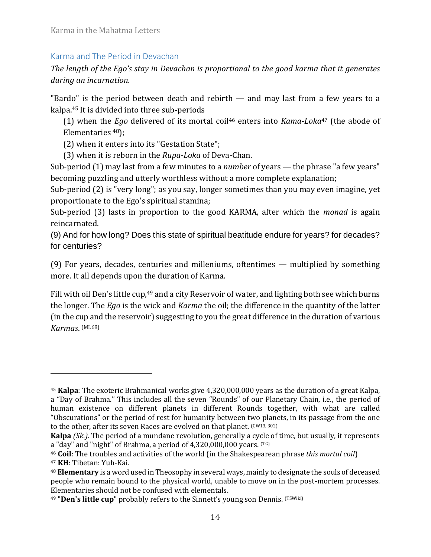$\overline{a}$ 

#### Karma and The Period in Devachan

*The length of the Ego's stay in Devachan is proportional to the good karma that it generates during an incarnation.*

"Bardo" is the period between death and rebirth — and may last from a few years to a kalpa.<sup>45</sup> It is divided into three sub-periods

(1) when the *Ego* delivered of its mortal coil<sup>46</sup> enters into *Kama-Loka*<sup>47</sup> (the abode of Elementaries <sup>48</sup>);

(2) when it enters into its "Gestation State";

(3) when it is reborn in the *Rupa-Loka* of Deva-Chan.

Sub-period (1) may last from a few minutes to a *number* of years — the phrase "a few years" becoming puzzling and utterly worthless without a more complete explanation;

Sub-period (2) is "very long"; as you say, longer sometimes than you may even imagine, yet proportionate to the Ego's spiritual stamina;

Sub-period (3) lasts in proportion to the good KARMA, after which the *monad* is again reincarnated.

(9) And for how long? Does this state of spiritual beatitude endure for years? for decades? for centuries?

(9) For years, decades, centuries and milleniums, oftentimes — multiplied by something more. It all depends upon the duration of Karma.

Fill with oil Den's little cup,<sup>49</sup> and a city Reservoir of water, and lighting both see which burns the longer. The *Ego* is the wick and *Karma* the oil; the difference in the quantity of the latter (in the cup and the reservoir) suggesting to you the great difference in the duration of various *Karmas*. (ML68)

<sup>45</sup> **Kalpa**: The exoteric Brahmanical works give 4,320,000,000 years as the duration of a great Kalpa, a "Day of Brahma." This includes all the seven "Rounds" of our Planetary Chain, i.e., the period of human existence on different planets in different Rounds together, with what are called "Obscurations" or the period of rest for humanity between two planets, in its passage from the one to the other, after its seven Races are evolved on that planet. (CW13, 302)

**Kalpa** *(Sk.).* The period of a mundane revolution, generally a cycle of time, but usually, it represents a "day" and "night" of Brahma, a period of  $4,320,000,000$  years.  $(TG)$ 

<sup>46</sup> **Coil**: The troubles and activities of the world (in the Shakespearean phrase *this mortal coil*) <sup>47</sup> **KH**: Tibetan: Yuh-Kai.

<sup>48</sup> **Elementary** is a word used in Theosophy in several ways, mainly to designate the souls of deceased people who remain bound to the physical world, unable to move on in the post-mortem processes. Elementaries should not be confused with elementals.

<sup>49</sup> "**Den's little cup**" probably refers to the Sinnett's young son Dennis. (TSWiki)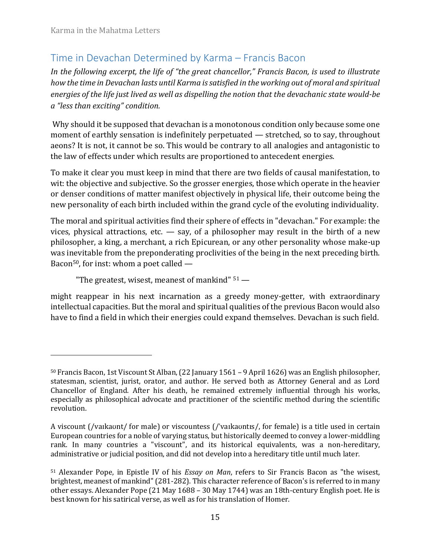l

### Time in Devachan Determined by Karma – Francis Bacon

*In the following excerpt, the life of "the great chancellor," Francis Bacon, is used to illustrate how the time in Devachan lasts until Karma is satisfied in the working out of moral and spiritual energies of the life just lived as well as dispelling the notion that the devachanic state would-be a "less than exciting" condition.*

Why should it be supposed that devachan is a monotonous condition only because some one moment of earthly sensation is indefinitely perpetuated — stretched, so to say, throughout aeons? It is not, it cannot be so. This would be contrary to all analogies and antagonistic to the law of effects under which results are proportioned to antecedent energies.

To make it clear you must keep in mind that there are two fields of causal manifestation, to wit: the objective and subjective. So the grosser energies, those which operate in the heavier or denser conditions of matter manifest objectively in physical life, their outcome being the new personality of each birth included within the grand cycle of the evoluting individuality.

The moral and spiritual activities find their sphere of effects in "devachan." For example: the vices, physical attractions, etc.  $-$  say, of a philosopher may result in the birth of a new philosopher, a king, a merchant, a rich Epicurean, or any other personality whose make-up was inevitable from the preponderating proclivities of the being in the next preceding birth. Bacon<sup>50</sup>, for inst: whom a poet called  $-$ 

"The greatest, wisest, meanest of mankind"  $51-$ 

might reappear in his next incarnation as a greedy money-getter, with extraordinary intellectual capacities. But the moral and spiritual qualities of the previous Bacon would also have to find a field in which their energies could expand themselves. Devachan is such field.

<sup>50</sup> Francis Bacon, 1st Viscount St Alban, (22 January 1561 – 9 April 1626) was an English philosopher, statesman, scientist, jurist, orator, and author. He served both as Attorney General and as Lord Chancellor of England. After his death, he remained extremely influential through his works, especially as philosophical advocate and practitioner of the scientific method during the scientific revolution.

A viscount (/vaɪkaʊnt/ for male) or viscountess (/ˈvaɪkaʊntɪs/, for female) is a title used in certain European countries for a noble of varying status, but historically deemed to convey a lower-middling rank. In many countries a "viscount", and its historical equivalents, was a non-hereditary, administrative or judicial position, and did not develop into a hereditary title until much later.

<sup>51</sup> Alexander Pope, in Epistle IV of his *Essay on Man*, refers to Sir Francis Bacon as "the wisest, brightest, meanest of mankind" (281-282). This character reference of Bacon's is referred to in many other essays. Alexander Pope (21 May 1688 – 30 May 1744) was an 18th-century English poet. He is best known for his satirical verse, as well as for his translation of Homer.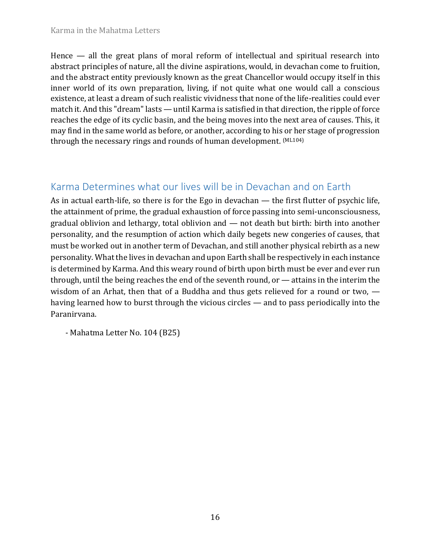Hence — all the great plans of moral reform of intellectual and spiritual research into abstract principles of nature, all the divine aspirations, would, in devachan come to fruition, and the abstract entity previously known as the great Chancellor would occupy itself in this inner world of its own preparation, living, if not quite what one would call a conscious existence, at least a dream of such realistic vividness that none of the life-realities could ever match it. And this "dream" lasts — until Karma is satisfied in that direction, the ripple of force reaches the edge of its cyclic basin, and the being moves into the next area of causes. This, it may find in the same world as before, or another, according to his or her stage of progression through the necessary rings and rounds of human development. (ML104)

#### Karma Determines what our lives will be in Devachan and on Earth

As in actual earth-life, so there is for the Ego in devachan — the first flutter of psychic life, the attainment of prime, the gradual exhaustion of force passing into semi-unconsciousness, gradual oblivion and lethargy, total oblivion and — not death but birth: birth into another personality, and the resumption of action which daily begets new congeries of causes, that must be worked out in another term of Devachan, and still another physical rebirth as a new personality. What the lives in devachan and upon Earth shall be respectively in each instance is determined by Karma. And this weary round of birth upon birth must be ever and ever run through, until the being reaches the end of the seventh round, or — attains in the interim the wisdom of an Arhat, then that of a Buddha and thus gets relieved for a round or two,  $$ having learned how to burst through the vicious circles — and to pass periodically into the Paranirvana.

- Mahatma Letter No. 104 (B25)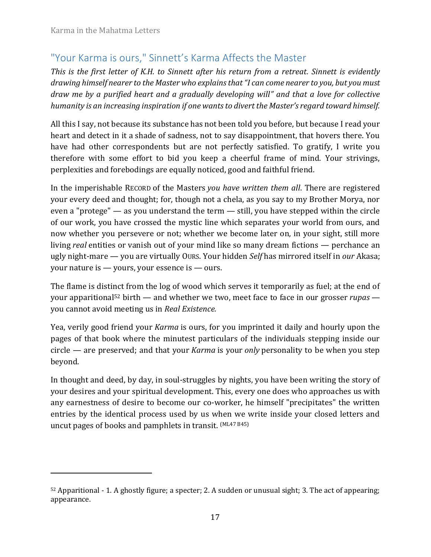l

### "Your Karma is ours," Sinnett's Karma Affects the Master

*This is the first letter of K.H. to Sinnett after his return from a retreat. Sinnett is evidently drawing himself nearer to the Master who explains that "I can come nearer to you, but you must draw me by a purified heart and a gradually developing will" and that a love for collective humanity is an increasing inspiration if one wants to divert the Master's regard toward himself.*

All this I say, not because its substance has not been told you before, but because I read your heart and detect in it a shade of sadness, not to say disappointment, that hovers there. You have had other correspondents but are not perfectly satisfied. To gratify, I write you therefore with some effort to bid you keep a cheerful frame of mind. Your strivings, perplexities and forebodings are equally noticed, good and faithful friend.

In the imperishable RECORD of the Masters *you have written them all*. There are registered your every deed and thought; for, though not a chela, as you say to my Brother Morya, nor even a "protege" — as you understand the term — still, you have stepped within the circle of our work, you have crossed the mystic line which separates your world from ours, and now whether you persevere or not; whether we become later on, in your sight, still more living *real* entities or vanish out of your mind like so many dream fictions — perchance an ugly night-mare — you are virtually OURS. Your hidden *Self* has mirrored itself in *our* Akasa; your nature is — yours, your essence is — ours.

The flame is distinct from the log of wood which serves it temporarily as fuel; at the end of your apparitional<sup>52</sup> birth — and whether we two, meet face to face in our grosser *rupas* you cannot avoid meeting us in *Real Existence.*

Yea, verily good friend your *Karma* is ours, for you imprinted it daily and hourly upon the pages of that book where the minutest particulars of the individuals stepping inside our circle — are preserved; and that your *Karma* is your *only* personality to be when you step beyond.

In thought and deed, by day, in soul-struggles by nights, you have been writing the story of your desires and your spiritual development. This, every one does who approaches us with any earnestness of desire to become our co-worker, he himself "precipitates" the written entries by the identical process used by us when we write inside your closed letters and uncut pages of books and pamphlets in transit. (ML47 B45)

<sup>52</sup> Apparitional - 1. A ghostly figure; a specter; 2. A sudden or unusual sight; 3. The act of appearing; appearance.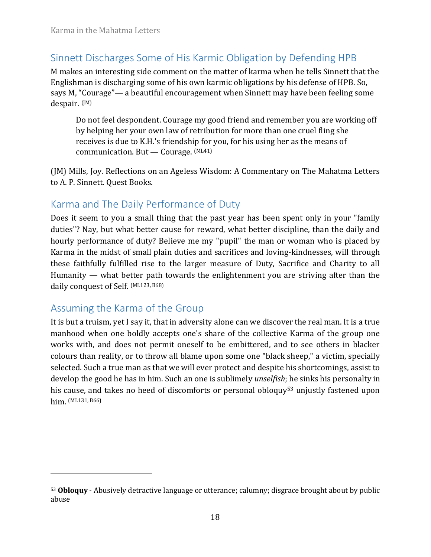### Sinnett Discharges Some of His Karmic Obligation by Defending HPB

M makes an interesting side comment on the matter of karma when he tells Sinnett that the Englishman is discharging some of his own karmic obligations by his defense of HPB. So, says M, "Courage"— a beautiful encouragement when Sinnett may have been feeling some despair.  $(M)$ 

Do not feel despondent. Courage my good friend and remember you are working off by helping her your own law of retribution for more than one cruel fling she receives is due to K.H.'s friendship for you, for his using her as the means of communication. But — Courage. (ML41)

(JM) Mills, Joy. Reflections on an Ageless Wisdom: A Commentary on The Mahatma Letters to A. P. Sinnett. Quest Books.

### Karma and The Daily Performance of Duty

Does it seem to you a small thing that the past year has been spent only in your "family duties"? Nay, but what better cause for reward, what better discipline, than the daily and hourly performance of duty? Believe me my "pupil" the man or woman who is placed by Karma in the midst of small plain duties and sacrifices and loving-kindnesses, will through these faithfully fulfilled rise to the larger measure of Duty, Sacrifice and Charity to all Humanity — what better path towards the enlightenment you are striving after than the daily conquest of Self. (ML123, B68)

### Assuming the Karma of the Group

l

It is but a truism, yet I say it, that in adversity alone can we discover the real man. It is a true manhood when one boldly accepts one's share of the collective Karma of the group one works with, and does not permit oneself to be embittered, and to see others in blacker colours than reality, or to throw all blame upon some one "black sheep," a victim, specially selected. Such a true man as that we will ever protect and despite his shortcomings, assist to develop the good he has in him. Such an one is sublimely *unselfish*; he sinks his personalty in his cause, and takes no heed of discomforts or personal obloquy<sup>53</sup> unjustly fastened upon him. (ML131, B66)

<sup>53</sup> **Obloquy** - Abusively detractive language or utterance; calumny; disgrace brought about by public abuse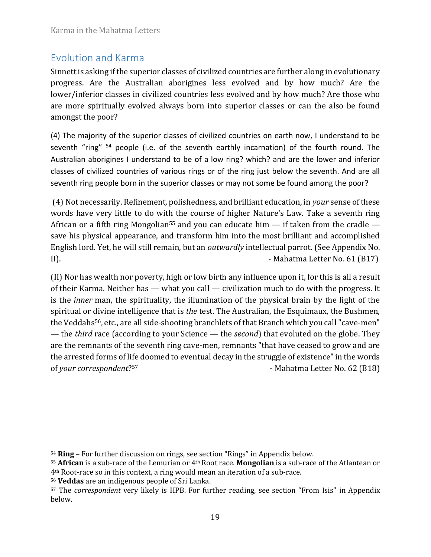### Evolution and Karma

Sinnett is asking if the superior classes of civilized countries are further along in evolutionary progress. Are the Australian aborigines less evolved and by how much? Are the lower/inferior classes in civilized countries less evolved and by how much? Are those who are more spiritually evolved always born into superior classes or can the also be found amongst the poor?

(4) The majority of the superior classes of civilized countries on earth now, I understand to be seventh "ring" <sup>54</sup> people (i.e. of the seventh earthly incarnation) of the fourth round. The Australian aborigines I understand to be of a low ring? which? and are the lower and inferior classes of civilized countries of various rings or of the ring just below the seventh. And are all seventh ring people born in the superior classes or may not some be found among the poor?

(4) Not necessarily. Refinement, polishedness, and brilliant education, in *your* sense of these words have very little to do with the course of higher Nature's Law. Take a seventh ring African or a fifth ring Mongolian<sup>55</sup> and you can educate him  $-$  if taken from the cradle  $$ save his physical appearance, and transform him into the most brilliant and accomplished English lord. Yet, he will still remain, but an *outwardly* intellectual parrot. (See Appendix No. II). III. San Anatoma Letter No. 61 (B17)

(II) Nor has wealth nor poverty, high or low birth any influence upon it, for this is all a result of their Karma. Neither has — what you call — civilization much to do with the progress. It is the *inner* man, the spirituality, the illumination of the physical brain by the light of the spiritual or divine intelligence that is *the* test. The Australian, the Esquimaux, the Bushmen, the Veddahs <sup>56</sup>, etc., are all side-shooting branchlets of that Branch which you call "cave-men" — the *third* race (according to your Science — the *second*) that evoluted on the globe. They are the remnants of the seventh ring cave-men, remnants "that have ceased to grow and are the arrested forms of life doomed to eventual decay in the struggle of existence" in the words of *your correspondent*? - Mahatma Letter No. 62 (B18)

<sup>54</sup> **Ring** – For further discussion on rings, see section "Rings" in Appendix below.

<sup>55</sup> **African** is a sub-race of the Lemurian or 4th Root race. **Mongolian** is a sub-race of the Atlantean or 4th Root-race so in this context, a ring would mean an iteration of a sub-race.

<sup>56</sup> **Veddas** are an indigenous people of Sri Lanka.

<sup>57</sup> The *correspondent* very likely is HPB. For further reading, see section "From Isis" in Appendix below.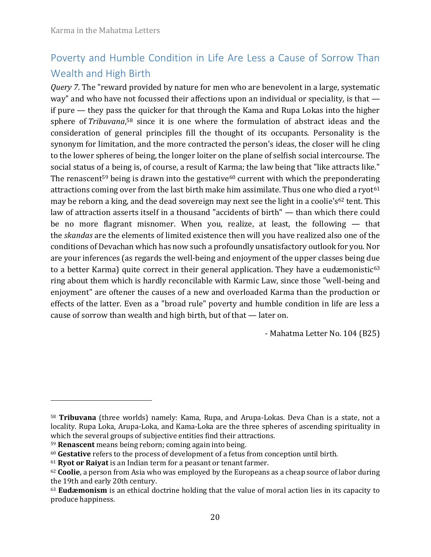## Poverty and Humble Condition in Life Are Less a Cause of Sorrow Than Wealth and High Birth

*Query 7*. The "reward provided by nature for men who are benevolent in a large, systematic way" and who have not focussed their affections upon an individual or speciality, is that if pure — they pass the quicker for that through the Kama and Rupa Lokas into the higher sphere of *Tribuvana*, <sup>58</sup> since it is one where the formulation of abstract ideas and the consideration of general principles fill the thought of its occupants. Personality is the synonym for limitation, and the more contracted the person's ideas, the closer will he cling to the lower spheres of being, the longer loiter on the plane of selfish social intercourse. The social status of a being is, of course, a result of Karma; the law being that "like attracts like." The renascent<sup>59</sup> being is drawn into the gestative<sup>60</sup> current with which the preponderating attractions coming over from the last birth make him assimilate. Thus one who died a ryot<sup>61</sup> may be reborn a king, and the dead sovereign may next see the light in a coolie's<sup>62</sup> tent. This law of attraction asserts itself in a thousand "accidents of birth" — than which there could be no more flagrant misnomer. When you, realize, at least, the following — that the *skandas* are the elements of limited existence then will you have realized also one of the conditions of Devachan which has now such a profoundly unsatisfactory outlook for you. Nor are your inferences (as regards the well-being and enjoyment of the upper classes being due to a better Karma) quite correct in their general application. They have a eudæmonistic<sup>63</sup> ring about them which is hardly reconcilable with Karmic Law, since those "well-being and enjoyment" are oftener the causes of a new and overloaded Karma than the production or effects of the latter. Even as a "broad rule" poverty and humble condition in life are less a cause of sorrow than wealth and high birth, but of that — later on.

- Mahatma Letter No. 104 (B25)

<sup>58</sup> **Tribuvana** (three worlds) namely: Kama, Rupa, and Arupa-Lokas. Deva Chan is a state, not a locality. Rupa Loka, Arupa-Loka, and Kama-Loka are the three spheres of ascending spirituality in which the several groups of subjective entities find their attractions.

<sup>59</sup> **Renascent** means being reborn; coming again into being.

<sup>60</sup> **Gestative** refers to the process of development of a fetus from conception until birth.

<sup>61</sup> **Ryot or Raiyat** is an Indian term for a peasant or tenant farmer.

<sup>62</sup> **Coolie**, a person from Asia who was employed by the Europeans as a cheap source of labor during the 19th and early 20th century.

<sup>63</sup> **Eudæmonism** is an ethical doctrine holding that the value of moral action lies in its capacity to produce happiness.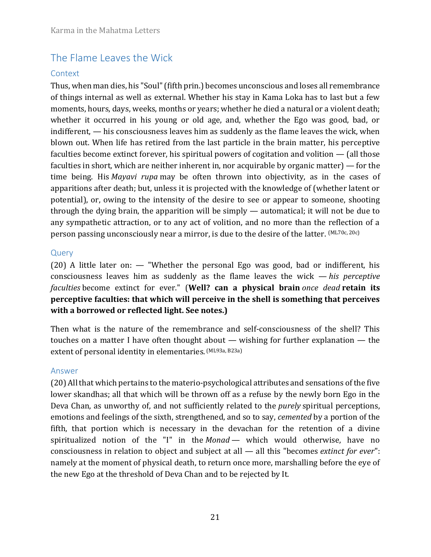### The Flame Leaves the Wick

#### Context

Thus, when man dies, his "Soul" (fifth prin.) becomes unconscious and loses all remembrance of things internal as well as external. Whether his stay in Kama Loka has to last but a few moments, hours, days, weeks, months or years; whether he died a natural or a violent death; whether it occurred in his young or old age, and, whether the Ego was good, bad, or indifferent, — his consciousness leaves him as suddenly as the flame leaves the wick, when blown out. When life has retired from the last particle in the brain matter, his perceptive faculties become extinct forever, his spiritual powers of cogitation and volition — (all those faculties in short, which are neither inherent in, nor acquirable by organic matter) — for the time being. His *Mayavi rupa* may be often thrown into objectivity, as in the cases of apparitions after death; but, unless it is projected with the knowledge of (whether latent or potential), or, owing to the intensity of the desire to see or appear to someone, shooting through the dying brain, the apparition will be simply — automatical; it will not be due to any sympathetic attraction, or to any act of volition, and no more than the reflection of a person passing unconsciously near a mirror, is due to the desire of the latter. (ML70c, 20c)

#### **Query**

(20) A little later on: — "Whether the personal Ego was good, bad or indifferent, his consciousness leaves him as suddenly as the flame leaves the wick — *his perceptive faculties* become extinct for ever." (**Well? can a physical brain** *once dead* **retain its perceptive faculties: that which will perceive in the shell is something that perceives with a borrowed or reflected light. See notes.)**

Then what is the nature of the remembrance and self-consciousness of the shell? This touches on a matter I have often thought about — wishing for further explanation — the extent of personal identity in elementaries. (ML93a, B23a)

#### Answer

(20) All that which pertains to the materio-psychological attributes and sensations of the five lower skandhas; all that which will be thrown off as a refuse by the newly born Ego in the Deva Chan, as unworthy of, and not sufficiently related to the *purely* spiritual perceptions, emotions and feelings of the sixth, strengthened, and so to say, *cemented* by a portion of the fifth, that portion which is necessary in the devachan for the retention of a divine spiritualized notion of the "I" in the *Monad* — which would otherwise, have no consciousness in relation to object and subject at all — all this "becomes *extinct for ever*": namely at the moment of physical death, to return once more, marshalling before the eye of the new Ego at the threshold of Deva Chan and to be rejected by It.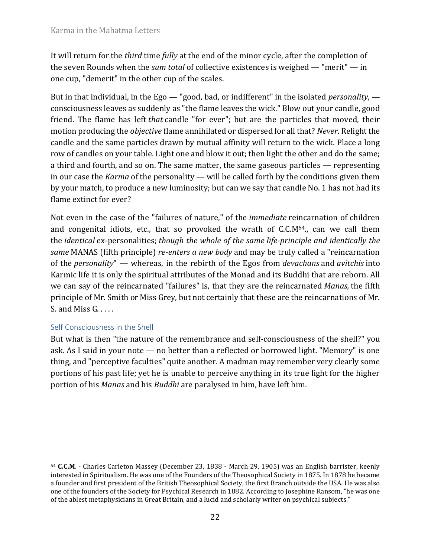It will return for the *third* time *fully* at the end of the minor cycle, after the completion of the seven Rounds when the *sum total* of collective existences is weighed — "merit" — in one cup, "demerit" in the other cup of the scales.

But in that individual, in the Ego — "good, bad, or indifferent" in the isolated *personality*, consciousness leaves as suddenly as "the flame leaves the wick." Blow out your candle, good friend. The flame has left *that* candle "for ever"; but are the particles that moved, their motion producing the *objective* flame annihilated or dispersed for all that? *Never*. Relight the candle and the same particles drawn by mutual affinity will return to the wick. Place a long row of candles on your table. Light one and blow it out; then light the other and do the same; a third and fourth, and so on. The same matter, the same gaseous particles — representing in our case the *Karma* of the personality — will be called forth by the conditions given them by your match, to produce a new luminosity; but can we say that candle No. 1 has not had its flame extinct for ever?

Not even in the case of the "failures of nature," of the *immediate* reincarnation of children and congenital idiots, etc., that so provoked the wrath of  $C.C.M<sup>64</sup>$ , can we call them the *identical* ex-personalities; *though the whole of the same life-principle and identically the same* MANAS (fifth principle) *re*-*enters a new body* and may be truly called a "reincarnation of the *personality*" — whereas, in the rebirth of the Egos from *devachans* and *avitchis* into Karmic life it is only the spiritual attributes of the Monad and its Buddhi that are reborn. All we can say of the reincarnated "failures" is, that they are the reincarnated *Manas,* the fifth principle of Mr. Smith or Miss Grey, but not certainly that these are the reincarnations of Mr. S. and Miss  $G_1, \ldots$ 

#### Self Consciousness in the Shell

 $\overline{a}$ 

But what is then "the nature of the remembrance and self-consciousness of the shell?" you ask. As I said in your note — no better than a reflected or borrowed light. "Memory" is one thing, and "perceptive faculties" quite another. A madman may remember very clearly some portions of his past life; yet he is unable to perceive anything in its true light for the higher portion of his *Manas* and his *Buddhi* are paralysed in him, have left him.

<sup>64</sup> **C.C.M**. - Charles Carleton Massey (December 23, 1838 - March 29, 1905) was an English barrister, keenly interested in Spiritualism. He was one of the Founders of the Theosophical Society in 1875. In 1878 he became a founder and first president of the British Theosophical Society, the first Branch outside the USA. He was also one of the founders of the Society for Psychical Research in 1882. According to Josephine Ransom, "he was one of the ablest metaphysicians in Great Britain, and a lucid and scholarly writer on psychical subjects."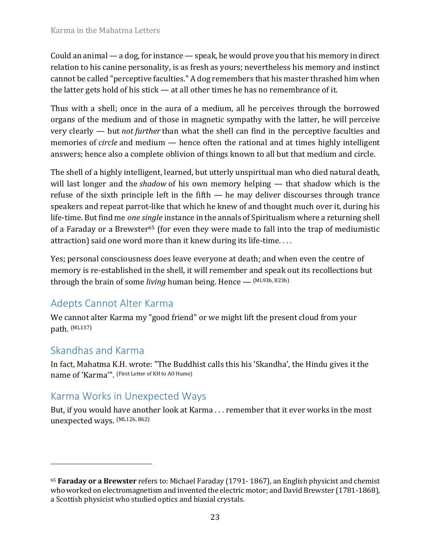Could an animal — a dog, for instance — speak, he would prove you that his memory in direct relation to his canine personality, is as fresh as yours; nevertheless his memory and instinct cannot be called "perceptive faculties." A dog remembers that his master thrashed him when the latter gets hold of his stick — at all other times he has no remembrance of it.

Thus with a shell; once in the aura of a medium, all he perceives through the borrowed organs of the medium and of those in magnetic sympathy with the latter, he will perceive very clearly — but *not further* than what the shell can find in the perceptive faculties and memories of *circle* and medium — hence often the rational and at times highly intelligent answers; hence also a complete oblivion of things known to all but that medium and circle.

The shell of a highly intelligent, learned, but utterly unspiritual man who died natural death, will last longer and the *shadow* of his own memory helping — that shadow which is the refuse of the sixth principle left in the fifth — he may deliver discourses through trance speakers and repeat parrot-like that which he knew of and thought much over it, during his life-time. But find me *one single* instance in the annals of Spiritualism where a returning shell of a Faraday or a Brewster<sup>65</sup> (for even they were made to fall into the trap of mediumistic attraction) said one word more than it knew during its life-time. . . .

Yes; personal consciousness does leave everyone at death; and when even the centre of memory is re-established in the shell, it will remember and speak out its recollections but through the brain of some *living* human being. Hence — (ML93b, B23b)

#### Adepts Cannot Alter Karma

We cannot alter Karma my "good friend" or we might lift the present cloud from your path. (ML137)

#### Skandhas and Karma

 $\overline{a}$ 

In fact, Mahatma K.H. wrote: "The Buddhist calls this his 'Skandha', the Hindu gives it the name of 'Karma'". (First Letter of KH to AO Hume)

#### Karma Works in Unexpected Ways

But, if you would have another look at Karma . . . remember that it ever works in the most unexpected ways. (ML126, B62)

<sup>65</sup> **Faraday or a Brewster** refers to: Michael Faraday (1791- 1867), an English physicist and chemist who worked on electromagnetism and invented the electric motor; and David Brewster (1781-1868), a Scottish physicist who studied optics and biaxial crystals.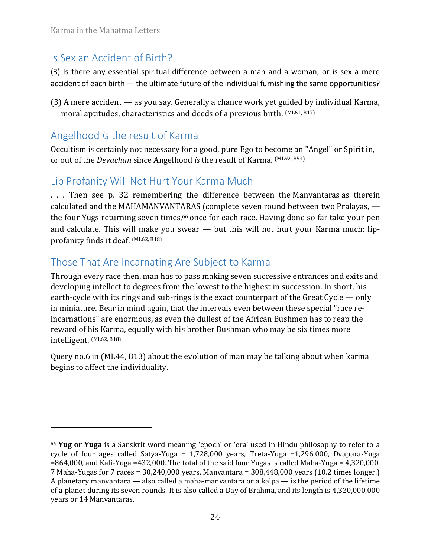### Is Sex an Accident of Birth?

(3) Is there any essential spiritual difference between a man and a woman, or is sex a mere accident of each birth — the ultimate future of the individual furnishing the same opportunities?

(3) A mere accident — as you say. Generally a chance work yet guided by individual Karma, — moral aptitudes, characteristics and deeds of a previous birth. (ML61, B17)

### Angelhood *is* the result of Karma

 $\overline{a}$ 

Occultism is certainly not necessary for a good, pure Ego to become an "Angel" or Spirit in, or out of the *Devachan* since Angelhood *is* the result of Karma. (ML92, B54)

#### Lip Profanity Will Not Hurt Your Karma Much

. . . Then see p. 32 remembering the difference between the Manvantaras as therein calculated and the MAHAMANVANTARAS (complete seven round between two Pralayas, the four Yugs returning seven times,<sup>66</sup> once for each race. Having done so far take your pen and calculate. This will make you swear — but this will not hurt your Karma much: lipprofanity finds it deaf. (ML62, B18)

### Those That Are Incarnating Are Subject to Karma

Through every race then, man has to pass making seven successive entrances and exits and developing intellect to degrees from the lowest to the highest in succession. In short, his earth-cycle with its rings and sub-rings is the exact counterpart of the Great Cycle — only in miniature. Bear in mind again, that the intervals even between these special "race reincarnations" are enormous, as even the dullest of the African Bushmen has to reap the reward of his Karma, equally with his brother Bushman who may be six times more intelligent. (ML62, B18)

Query no.6 in (ML44, B13) about the evolution of man may be talking about when karma begins to affect the individuality.

<sup>66</sup> **Yug or Yuga** is a Sanskrit word meaning 'epoch' or 'era' used in Hindu philosophy to refer to a cycle of four ages called Satya-Yuga = 1,728,000 years, Treta-Yuga =1,296,000, Dvapara-Yuga =864,000, and Kali-Yuga =432,000. The total of the said four Yugas is called Maha-Yuga = 4,320,000. 7 Maha-Yugas for 7 races = 30,240,000 years. Manvantara = 308,448,000 years (10.2 times longer.) A planetary manvantara  $-$  also called a maha-manvantara or a kalpa  $-$  is the period of the lifetime of a planet during its seven rounds. It is also called a Day of Brahma, and its length is 4,320,000,000 years or 14 Manvantaras.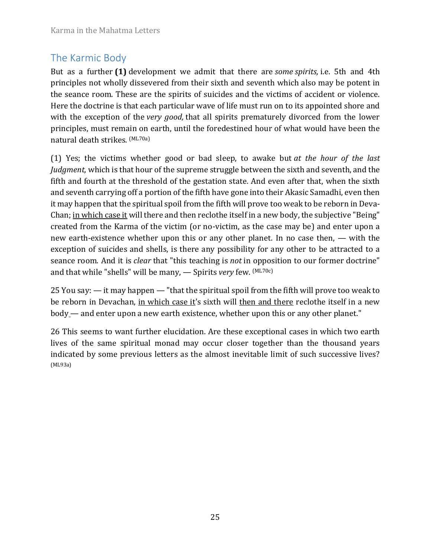### The Karmic Body

But as a further **(1)** development we admit that there are *some spirits,* i.e. 5th and 4th principles not wholly dissevered from their sixth and seventh which also may be potent in the seance room. These are the spirits of suicides and the victims of accident or violence. Here the doctrine is that each particular wave of life must run on to its appointed shore and with the exception of the *very good,* that all spirits prematurely divorced from the lower principles, must remain on earth, until the foredestined hour of what would have been the natural death strikes. (ML70a)

(1) Yes; the victims whether good or bad sleep, to awake but *at the hour of the last Judgment,* which is that hour of the supreme struggle between the sixth and seventh, and the fifth and fourth at the threshold of the gestation state. And even after that, when the sixth and seventh carrying off a portion of the fifth have gone into their Akasic Samadhi, even then it may happen that the spiritual spoil from the fifth will prove too weak to be reborn in Deva-Chan; in which case it will there and then reclothe itself in a new body, the subjective "Being" created from the Karma of the victim (or no-victim, as the case may be) and enter upon a new earth-existence whether upon this or any other planet. In no case then, — with the exception of suicides and shells, is there any possibility for any other to be attracted to a seance room. And it is *clear* that "this teaching is *not* in opposition to our former doctrine" and that while "shells" will be many, — Spirits *very* few. (ML70c)

25 You say: — it may happen — "that the spiritual spoil from the fifth will prove too weak to be reborn in Devachan, in which case it's sixth will then and there reclothe itself in a new body — and enter upon a new earth existence, whether upon this or any other planet."

26 This seems to want further elucidation. Are these exceptional cases in which two earth lives of the same spiritual monad may occur closer together than the thousand years indicated by some previous letters as the almost inevitable limit of such successive lives? (ML93a)